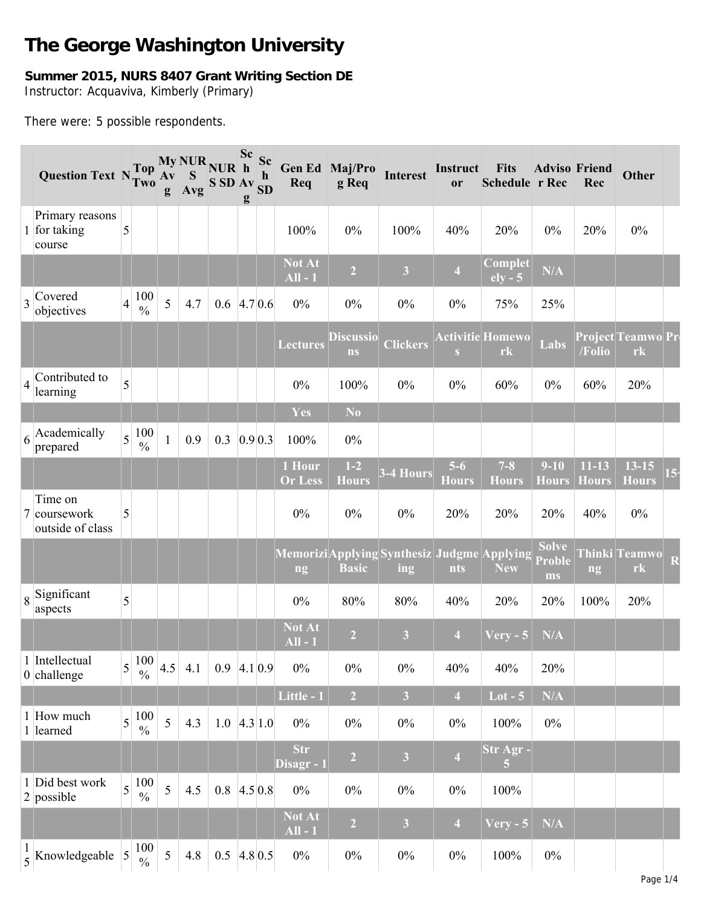# **The George Washington University**

# **Summer 2015, NURS 8407 Grant Writing Section DE** Instructor: Acquaviva, Kimberly (Primary)

There were: 5 possible respondents.

|                | <b>Question Text NTWO</b>                   | <b>Top</b>                             | $\bf{A}$ v<br>g | My NUR NUR h<br>$\mathbf S$<br>Avg | S SD Av SD | $\mathbf{g}$ | Req                      | Sc Sc Gen Ed Maj/Pro<br>g Req | <b>Interest</b>                                    | Instruct<br><b>or</b> | <b>Fits</b><br><b>Schedule r Rec</b> | <b>Adviso Friend</b>         | Rec                       | Other                          |  |
|----------------|---------------------------------------------|----------------------------------------|-----------------|------------------------------------|------------|--------------|--------------------------|-------------------------------|----------------------------------------------------|-----------------------|--------------------------------------|------------------------------|---------------------------|--------------------------------|--|
|                | Primary reasons<br>1 for taking<br>course   | 5                                      |                 |                                    |            |              | 100%                     | $0\%$                         | 100%                                               | 40%                   | 20%                                  | $0\%$                        | 20%                       | $0\%$                          |  |
|                |                                             |                                        |                 |                                    |            |              | Not At<br>$All - 1$      | $\overline{2}$                | $\overline{\mathbf{3}}$                            | $\overline{4}$        | Complet<br>$ely - 5$                 | N/A                          |                           |                                |  |
| $\overline{3}$ | Covered<br>objectives                       | 100<br>$\overline{4}$<br>$\frac{0}{0}$ | 5               | 4.7                                | 0.6        | 4.70.6       | $0\%$                    | $0\%$                         | $0\%$                                              | $0\%$                 | 75%                                  | 25%                          |                           |                                |  |
|                |                                             |                                        |                 |                                    |            |              | <b>Lectures</b>          | <b>Discussio</b><br>ns        | <b>Clickers</b>                                    | S                     | <b>Activitie Homewo</b><br>rk        | Labs                         | /Folio                    | <b>Project Teamwo Pr</b><br>rk |  |
| $\overline{4}$ | Contributed to<br>learning                  | 5                                      |                 |                                    |            |              | $0\%$                    | 100%                          | $0\%$                                              | $0\%$                 | 60%                                  | $0\%$                        | 60%                       | 20%                            |  |
|                |                                             |                                        |                 |                                    |            |              | Yes                      | N <sub>0</sub>                |                                                    |                       |                                      |                              |                           |                                |  |
|                | $6$ <sup>Academically</sup><br>prepared     | 100<br>$\overline{5}$<br>$\frac{0}{0}$ |                 | 0.9                                | 0.3        | 0.9 0.3      | 100%                     | $0\%$                         |                                                    |                       |                                      |                              |                           |                                |  |
|                |                                             |                                        |                 |                                    |            |              | 1 Hour<br><b>Or Less</b> | $1-2$<br><b>Hours</b>         | 3-4 Hours                                          | $5-6$<br><b>Hours</b> | $7 - 8$<br><b>Hours</b>              | $9 - 10$<br><b>Hours</b>     | $11 - 13$<br><b>Hours</b> | $13 - 15$<br><b>Hours</b>      |  |
|                | Time on<br>7 coursework<br>outside of class | 5                                      |                 |                                    |            |              | $0\%$                    | $0\%$                         | $0\%$                                              | 20%                   | 20%                                  | 20%                          | 40%                       | $0\%$                          |  |
|                |                                             |                                        |                 |                                    |            |              | ng                       | <b>Basic</b>                  | Memorizi Applying Synthesiz Judgme Applying<br>ing | nts                   | <b>New</b>                           | <b>Solve</b><br>Proble<br>ms | ng                        | <b>Thinki Teamwo</b><br>rk     |  |
|                | $\frac{1}{8}$ Significant<br>aspects        | 5                                      |                 |                                    |            |              | $0\%$                    | 80%                           | 80%                                                | 40%                   | 20%                                  | 20%                          | 100%                      | 20%                            |  |
|                |                                             |                                        |                 |                                    |            |              | Not At<br>$All - 1$      | $\overline{2}$                | $\overline{\mathbf{3}}$                            | $\overline{4}$        | $Very - 5$                           | N/A                          |                           |                                |  |
|                | 1 Intellectual<br>$0$ challenge             | $\frac{100}{\%}$<br>5                  |                 | $4.5$ 4.1                          | 0.9        | 4.1 0.9      | $0\%$                    | $0\%$                         | $0\%$                                              | 40%                   | 40%                                  | 20%                          |                           |                                |  |
|                |                                             |                                        |                 |                                    |            |              | Little - 1               | 2 <sup>1</sup>                | $\overline{\mathbf{3}}$                            | $\overline{4}$        | $Lot - 5$                            | N/A                          |                           |                                |  |
|                | 1 How much<br>1 learned                     | 100<br>$\overline{5}$<br>$\frac{0}{0}$ | 5               | 4.3                                | 1.0        | 4.3 1.0      | $0\%$                    | $0\%$                         | $0\%$                                              | $0\%$                 | 100%                                 | $0\%$                        |                           |                                |  |
|                |                                             |                                        |                 |                                    |            |              | <b>Str</b><br>Disagr - 1 | $\overline{2}$                | $\overline{\mathbf{3}}$                            | $\overline{4}$        | Str Agr -                            |                              |                           |                                |  |
|                | 1 Did best work<br>$2$ possible             | 100<br>$\overline{5}$<br>$\frac{0}{0}$ | 5               | 4.5                                | 0.8        | 4.50.8       | $0\%$                    | $0\%$                         | $0\%$                                              | $0\%$                 | 100%                                 |                              |                           |                                |  |
|                |                                             |                                        |                 |                                    |            |              | Not At<br>$All - 1$      | $\overline{2}$                | $\overline{\mathbf{3}}$                            | $\overline{4}$        | $V$ ery - 5                          | N/A                          |                           |                                |  |
|                | $\frac{1}{5}$ Knowledgeable                 | 100<br>$\overline{5}$<br>$\frac{0}{0}$ | 5               | 4.8                                | 0.5        | $4.8\,0.5$   | $0\%$                    | $0\%$                         | $0\%$                                              | $0\%$                 | 100%                                 | $0\%$                        |                           |                                |  |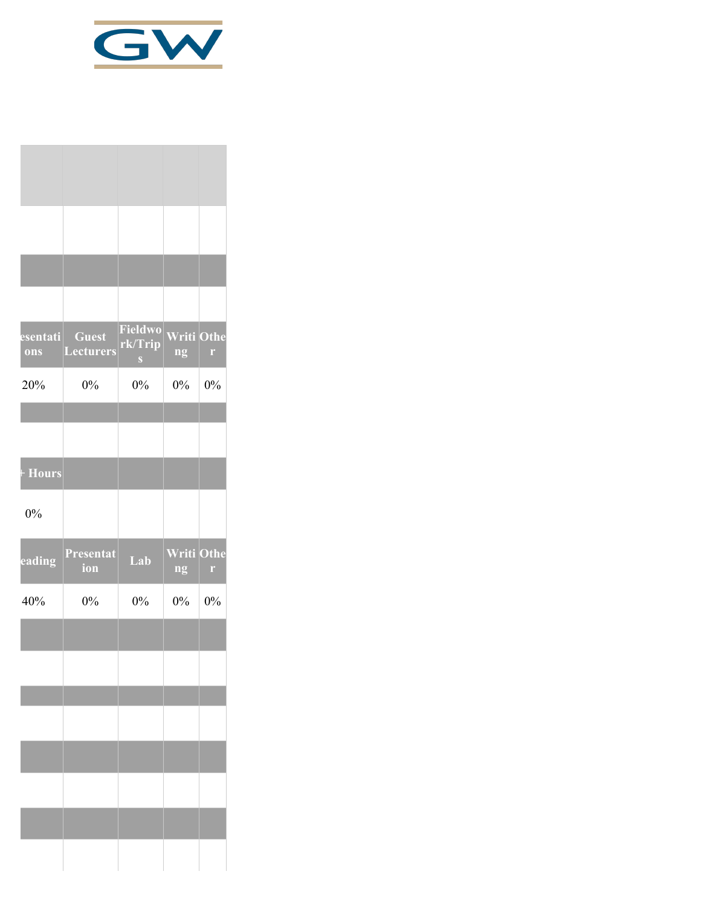

| esenta <u>ti</u><br>ons | <b>Guest</b><br><b>Lecturers</b> | Fieldwo<br>rk/Trip<br>S | <b>Writi Othe</b><br>ng | $\Gamma$  |
|-------------------------|----------------------------------|-------------------------|-------------------------|-----------|
| 20%                     | 0%                               | $0\%$                   | $0\%$                   | $0\%$     |
|                         |                                  |                         |                         |           |
| + Hours                 |                                  |                         |                         |           |
| 0%                      |                                  |                         |                         |           |
| eading                  | Presentat<br>ion                 | Lab                     | Writi<br>ng             | Othe<br>r |
| 40%                     | 0%                               | $0\%$                   | 0%                      | 0%        |
|                         |                                  |                         |                         |           |
|                         |                                  |                         |                         |           |
|                         |                                  |                         |                         |           |
|                         |                                  |                         |                         |           |
|                         |                                  |                         |                         |           |
|                         |                                  |                         |                         |           |
|                         |                                  |                         |                         |           |